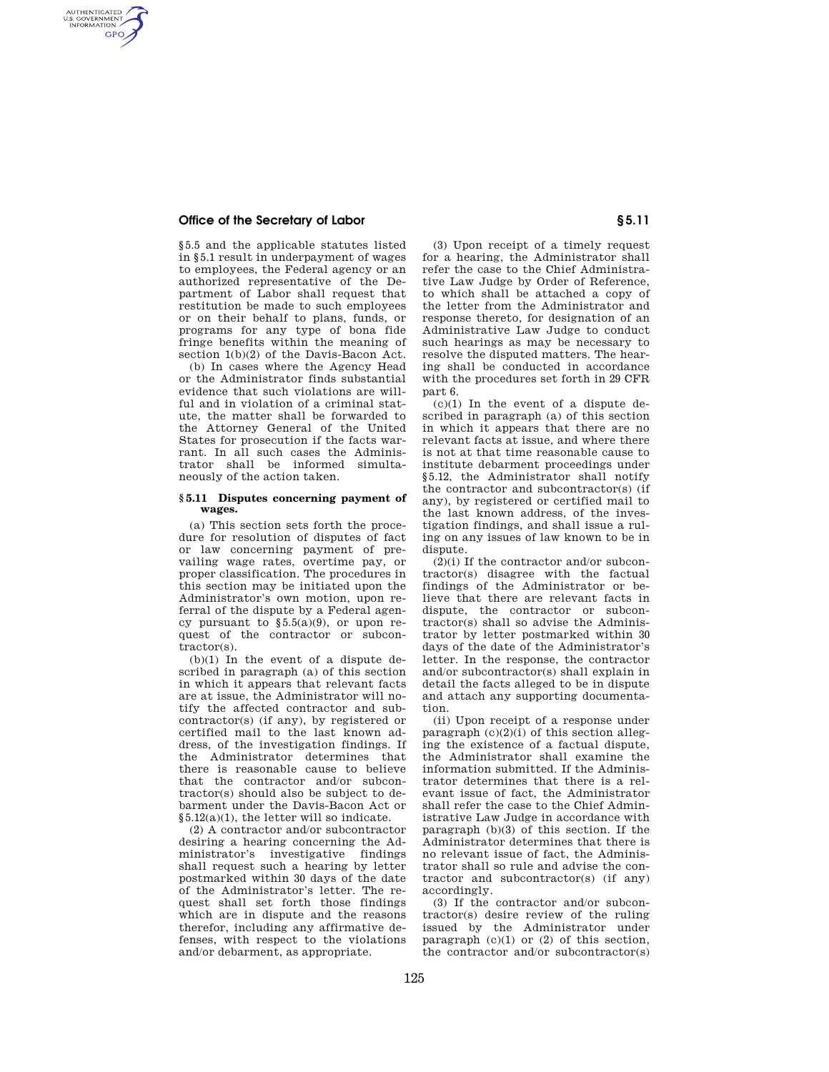## **Office of the Secretary of Labor § 5.11**

AUTHENTICATED<br>U.S. GOVERNMENT<br>INFORMATION **GPO** 

> §5.5 and the applicable statutes listed in §5.1 result in underpayment of wages to employees, the Federal agency or an authorized representative of the Department of Labor shall request that restitution be made to such employees or on their behalf to plans, funds, or programs for any type of bona fide fringe benefits within the meaning of section 1(b)(2) of the Davis-Bacon Act.

> (b) In cases where the Agency Head or the Administrator finds substantial evidence that such violations are willful and in violation of a criminal statute, the matter shall be forwarded to the Attorney General of the United States for prosecution if the facts warrant. In all such cases the Administrator shall be informed simultaneously of the action taken.

## **§ 5.11 Disputes concerning payment of wages.**

(a) This section sets forth the procedure for resolution of disputes of fact or law concerning payment of prevailing wage rates, overtime pay, or proper classification. The procedures in this section may be initiated upon the Administrator's own motion, upon referral of the dispute by a Federal agency pursuant to  $\S 5.5(a)(9)$ , or upon request of the contractor or subcontractor(s).

(b)(1) In the event of a dispute described in paragraph (a) of this section in which it appears that relevant facts are at issue, the Administrator will notify the affected contractor and subcontractor(s) (if any), by registered or certified mail to the last known address, of the investigation findings. If the Administrator determines that there is reasonable cause to believe that the contractor and/or subcontractor(s) should also be subject to debarment under the Davis-Bacon Act or §5.12(a)(1), the letter will so indicate.

(2) A contractor and/or subcontractor desiring a hearing concerning the Administrator's investigative findings shall request such a hearing by letter postmarked within 30 days of the date of the Administrator's letter. The request shall set forth those findings which are in dispute and the reasons therefor, including any affirmative defenses, with respect to the violations and/or debarment, as appropriate.

(3) Upon receipt of a timely request for a hearing, the Administrator shall refer the case to the Chief Administrative Law Judge by Order of Reference, to which shall be attached a copy of the letter from the Administrator and response thereto, for designation of an Administrative Law Judge to conduct such hearings as may be necessary to resolve the disputed matters. The hearing shall be conducted in accordance with the procedures set forth in 29 CFR part 6.

 $(c)(1)$  In the event of a dispute described in paragraph (a) of this section in which it appears that there are no relevant facts at issue, and where there is not at that time reasonable cause to institute debarment proceedings under §5.12, the Administrator shall notify the contractor and subcontractor(s) (if any), by registered or certified mail to the last known address, of the investigation findings, and shall issue a ruling on any issues of law known to be in dispute.

 $(2)(i)$  If the contractor and/or subcontractor(s) disagree with the factual findings of the Administrator or believe that there are relevant facts in dispute, the contractor or subcontractor(s) shall so advise the Administrator by letter postmarked within 30 days of the date of the Administrator's letter. In the response, the contractor and/or subcontractor(s) shall explain in detail the facts alleged to be in dispute and attach any supporting documentation.

(ii) Upon receipt of a response under paragraph  $(c)(2)(i)$  of this section alleging the existence of a factual dispute, the Administrator shall examine the information submitted. If the Administrator determines that there is a relevant issue of fact, the Administrator shall refer the case to the Chief Administrative Law Judge in accordance with paragraph (b)(3) of this section. If the Administrator determines that there is no relevant issue of fact, the Administrator shall so rule and advise the contractor and subcontractor(s) (if any) accordingly.

(3) If the contractor and/or subcontractor(s) desire review of the ruling issued by the Administrator under paragraph  $(c)(1)$  or  $(2)$  of this section, the contractor and/or subcontractor(s)